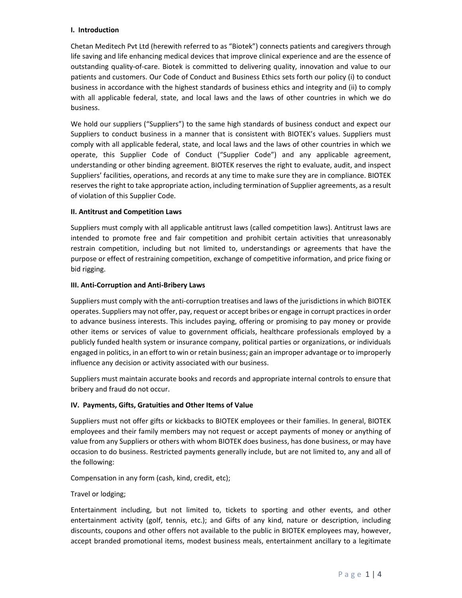## **I. Introduction**

Chetan Meditech Pvt Ltd (herewith referred to as "Biotek") connects patients and caregivers through life saving and life enhancing medical devices that improve clinical experience and are the essence of outstanding quality‐of‐care. Biotek is committed to delivering quality, innovation and value to our patients and customers. Our Code of Conduct and Business Ethics sets forth our policy (i) to conduct business in accordance with the highest standards of business ethics and integrity and (ii) to comply with all applicable federal, state, and local laws and the laws of other countries in which we do business.

We hold our suppliers ("Suppliers") to the same high standards of business conduct and expect our Suppliers to conduct business in a manner that is consistent with BIOTEK's values. Suppliers must comply with all applicable federal, state, and local laws and the laws of other countries in which we operate, this Supplier Code of Conduct ("Supplier Code") and any applicable agreement, understanding or other binding agreement. BIOTEK reserves the right to evaluate, audit, and inspect Suppliers' facilities, operations, and records at any time to make sure they are in compliance. BIOTEK reserves the right to take appropriate action, including termination of Supplier agreements, as a result of violation of this Supplier Code.

## **II. Antitrust and Competition Laws**

Suppliers must comply with all applicable antitrust laws (called competition laws). Antitrust laws are intended to promote free and fair competition and prohibit certain activities that unreasonably restrain competition, including but not limited to, understandings or agreements that have the purpose or effect of restraining competition, exchange of competitive information, and price fixing or bid rigging.

## **III. Anti‐Corruption and Anti‐Bribery Laws**

Suppliers must comply with the anti‐corruption treatises and laws of the jurisdictions in which BIOTEK operates. Suppliers may not offer, pay, request or accept bribes or engage in corrupt practices in order to advance business interests. This includes paying, offering or promising to pay money or provide other items or services of value to government officials, healthcare professionals employed by a publicly funded health system or insurance company, political parties or organizations, or individuals engaged in politics, in an effort to win or retain business; gain an improper advantage or to improperly influence any decision or activity associated with our business.

Suppliers must maintain accurate books and records and appropriate internal controls to ensure that bribery and fraud do not occur.

# **IV. Payments, Gifts, Gratuities and Other Items of Value**

Suppliers must not offer gifts or kickbacks to BIOTEK employees or their families. In general, BIOTEK employees and their family members may not request or accept payments of money or anything of value from any Suppliers or others with whom BIOTEK does business, has done business, or may have occasion to do business. Restricted payments generally include, but are not limited to, any and all of the following:

Compensation in any form (cash, kind, credit, etc);

#### Travel or lodging;

Entertainment including, but not limited to, tickets to sporting and other events, and other entertainment activity (golf, tennis, etc.); and Gifts of any kind, nature or description, including discounts, coupons and other offers not available to the public in BIOTEK employees may, however, accept branded promotional items, modest business meals, entertainment ancillary to a legitimate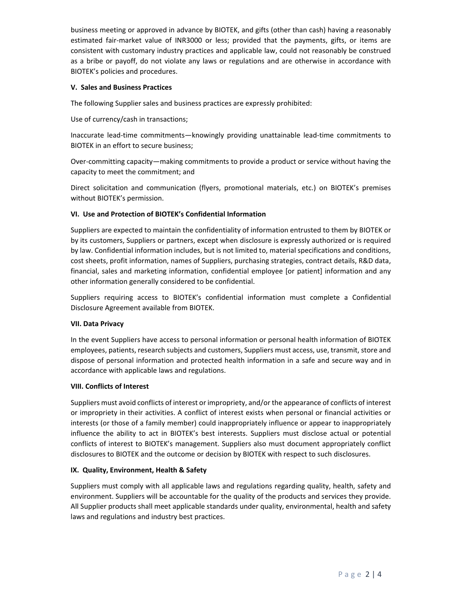business meeting or approved in advance by BIOTEK, and gifts (other than cash) having a reasonably estimated fair-market value of INR3000 or less; provided that the payments, gifts, or items are consistent with customary industry practices and applicable law, could not reasonably be construed as a bribe or payoff, do not violate any laws or regulations and are otherwise in accordance with BIOTEK's policies and procedures.

## **V. Sales and Business Practices**

The following Supplier sales and business practices are expressly prohibited:

Use of currency/cash in transactions;

Inaccurate lead‐time commitments—knowingly providing unattainable lead‐time commitments to BIOTEK in an effort to secure business;

Over‐committing capacity—making commitments to provide a product or service without having the capacity to meet the commitment; and

Direct solicitation and communication (flyers, promotional materials, etc.) on BIOTEK's premises without BIOTEK's permission.

## **VI. Use and Protection of BIOTEK's Confidential Information**

Suppliers are expected to maintain the confidentiality of information entrusted to them by BIOTEK or by its customers, Suppliers or partners, except when disclosure is expressly authorized or is required by law. Confidential information includes, but is not limited to, material specifications and conditions, cost sheets, profit information, names of Suppliers, purchasing strategies, contract details, R&D data, financial, sales and marketing information, confidential employee [or patient] information and any other information generally considered to be confidential.

Suppliers requiring access to BIOTEK's confidential information must complete a Confidential Disclosure Agreement available from BIOTEK.

#### **VII. Data Privacy**

In the event Suppliers have access to personal information or personal health information of BIOTEK employees, patients, research subjects and customers, Suppliers must access, use, transmit, store and dispose of personal information and protected health information in a safe and secure way and in accordance with applicable laws and regulations.

#### **VIII. Conflicts of Interest**

Suppliers must avoid conflicts of interest or impropriety, and/or the appearance of conflicts of interest or impropriety in their activities. A conflict of interest exists when personal or financial activities or interests (or those of a family member) could inappropriately influence or appear to inappropriately influence the ability to act in BIOTEK's best interests. Suppliers must disclose actual or potential conflicts of interest to BIOTEK's management. Suppliers also must document appropriately conflict disclosures to BIOTEK and the outcome or decision by BIOTEK with respect to such disclosures.

# **IX. Quality, Environment, Health & Safety**

Suppliers must comply with all applicable laws and regulations regarding quality, health, safety and environment. Suppliers will be accountable for the quality of the products and services they provide. All Supplier products shall meet applicable standards under quality, environmental, health and safety laws and regulations and industry best practices.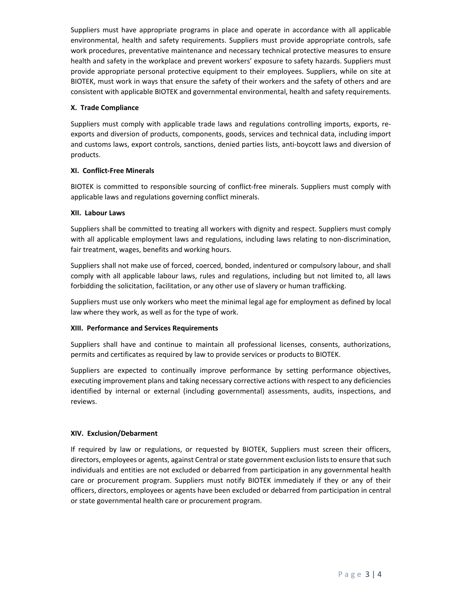Suppliers must have appropriate programs in place and operate in accordance with all applicable environmental, health and safety requirements. Suppliers must provide appropriate controls, safe work procedures, preventative maintenance and necessary technical protective measures to ensure health and safety in the workplace and prevent workers' exposure to safety hazards. Suppliers must provide appropriate personal protective equipment to their employees. Suppliers, while on site at BIOTEK, must work in ways that ensure the safety of their workers and the safety of others and are consistent with applicable BIOTEK and governmental environmental, health and safety requirements.

## **X. Trade Compliance**

Suppliers must comply with applicable trade laws and regulations controlling imports, exports, reexports and diversion of products, components, goods, services and technical data, including import and customs laws, export controls, sanctions, denied parties lists, anti‐boycott laws and diversion of products.

## **XI. Conflict‐Free Minerals**

BIOTEK is committed to responsible sourcing of conflict-free minerals. Suppliers must comply with applicable laws and regulations governing conflict minerals.

## **XII. Labour Laws**

Suppliers shall be committed to treating all workers with dignity and respect. Suppliers must comply with all applicable employment laws and regulations, including laws relating to non-discrimination, fair treatment, wages, benefits and working hours.

Suppliers shall not make use of forced, coerced, bonded, indentured or compulsory labour, and shall comply with all applicable labour laws, rules and regulations, including but not limited to, all laws forbidding the solicitation, facilitation, or any other use of slavery or human trafficking.

Suppliers must use only workers who meet the minimal legal age for employment as defined by local law where they work, as well as for the type of work.

#### **XIII. Performance and Services Requirements**

Suppliers shall have and continue to maintain all professional licenses, consents, authorizations, permits and certificates as required by law to provide services or products to BIOTEK.

Suppliers are expected to continually improve performance by setting performance objectives, executing improvement plans and taking necessary corrective actions with respect to any deficiencies identified by internal or external (including governmental) assessments, audits, inspections, and reviews.

# **XIV. Exclusion/Debarment**

If required by law or regulations, or requested by BIOTEK, Suppliers must screen their officers, directors, employees or agents, against Central or state government exclusion lists to ensure that such individuals and entities are not excluded or debarred from participation in any governmental health care or procurement program. Suppliers must notify BIOTEK immediately if they or any of their officers, directors, employees or agents have been excluded or debarred from participation in central or state governmental health care or procurement program.